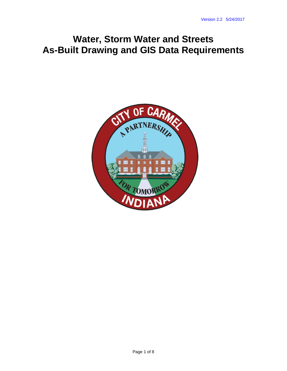# **Water, Storm Water and Streets As-Built Drawing and GIS Data Requirements**

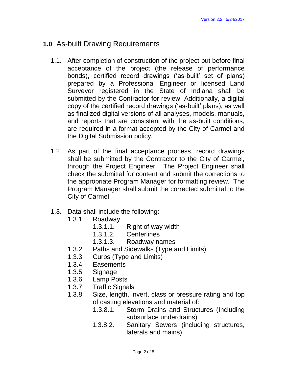# **1.0** As-built Drawing Requirements

- 1.1. After completion of construction of the project but before final acceptance of the project (the release of performance bonds), certified record drawings ('as-built' set of plans) prepared by a Professional Engineer or licensed Land Surveyor registered in the State of Indiana shall be submitted by the Contractor for review. Additionally, a digital copy of the certified record drawings ('as-built' plans), as well as finalized digital versions of all analyses, models, manuals, and reports that are consistent with the as-built conditions, are required in a format accepted by the City of Carmel and the Digital Submission policy.
- 1.2. As part of the final acceptance process, record drawings shall be submitted by the Contractor to the City of Carmel, through the Project Engineer. The Project Engineer shall check the submittal for content and submit the corrections to the appropriate Program Manager for formatting review. The Program Manager shall submit the corrected submittal to the City of Carmel
- 1.3. Data shall include the following:
	- 1.3.1. Roadway
		- 1.3.1.1. Right of way width
		- 1.3.1.2. Centerlines
		- 1.3.1.3. Roadway names
	- 1.3.2. Paths and Sidewalks (Type and Limits)
	- 1.3.3. Curbs (Type and Limits)
	- 1.3.4. Easements
	- 1.3.5. Signage
	- 1.3.6. Lamp Posts
	- 1.3.7. Traffic Signals
	- 1.3.8. Size, length, invert, class or pressure rating and top of casting elevations and material of:
		- 1.3.8.1. Storm Drains and Structures (Including subsurface underdrains)
		- 1.3.8.2. Sanitary Sewers (including structures, laterals and mains)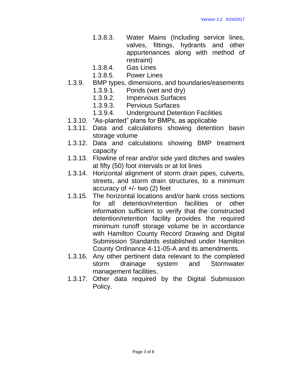- 1.3.8.3. Water Mains (Including service lines, valves, fittings, hydrants and other appurtenances along with method of restraint)
- 1.3.8.4. Gas Lines
- 1.3.8.5. Power Lines
- 1.3.9. BMP types, dimensions, and boundaries/easements
	- 1.3.9.1. Ponds (wet and dry)
	- 1.3.9.2. Impervious Surfaces
	- 1.3.9.3. Pervious Surfaces
	- 1.3.9.4. Underground Detention Facilities
- 1.3.10. "As-planted" plans for BMPs, as applicable
- 1.3.11. Data and calculations showing detention basin storage volume
- 1.3.12. Data and calculations showing BMP treatment capacity
- 1.3.13. Flowline of rear and/or side yard ditches and swales at fifty (50) foot intervals or at lot lines
- 1.3.14. Horizontal alignment of storm drain pipes, culverts, streets, and storm drain structures, to a minimum accuracy of +/- two (2) feet
- 1.3.15. The horizontal locations and/or bank cross sections for all detention/retention facilities or other information sufficient to verify that the constructed detention/retention facility provides the required minimum runoff storage volume be in accordance with Hamilton County Record Drawing and Digital Submission Standards established under Hamilton County Ordinance 4-11-05-A and its amendments.
- 1.3.16. Any other pertinent data relevant to the completed storm drainage system and Stormwater management facilities.
- 1.3.17. Other data required by the Digital Submission Policy.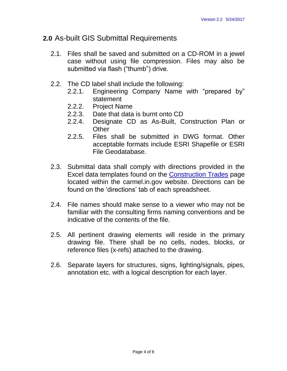## **2.0** As-built GIS Submittal Requirements

- 2.1. Files shall be saved and submitted on a CD-ROM in a jewel case without using file compression. Files may also be submitted via flash ("thumb") drive.
- 2.2. The CD label shall include the following:
	- 2.2.1. Engineering Company Name with "prepared by" statement
	- 2.2.2. Project Name
	- 2.2.3. Date that data is burnt onto CD
	- 2.2.4. Designate CD as As-Built, Construction Plan or **Other**
	- 2.2.5. Files shall be submitted in DWG format. Other acceptable formats include ESRI Shapefile or ESRI File Geodatabase.
- 2.3. Submittal data shall comply with directions provided in the Excel data templates found on the [Construction Trades](http://carmel.in.gov/index.aspx?page=115) page located within the carmel.in.gov website. Directions can be found on the 'directions' tab of each spreadsheet.
- 2.4. File names should make sense to a viewer who may not be familiar with the consulting firms naming conventions and be indicative of the contents of the file.
- 2.5. All pertinent drawing elements will reside in the primary drawing file. There shall be no cells, nodes, blocks, or reference files (x-refs) attached to the drawing.
- 2.6. Separate layers for structures, signs, lighting/signals, pipes, annotation etc. with a logical description for each layer.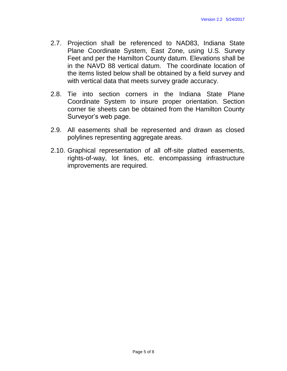- 2.7. Projection shall be referenced to NAD83, Indiana State Plane Coordinate System, East Zone, using U.S. Survey Feet and per the Hamilton County datum. Elevations shall be in the NAVD 88 vertical datum. The coordinate location of the items listed below shall be obtained by a field survey and with vertical data that meets survey grade accuracy.
- 2.8. Tie into section corners in the Indiana State Plane Coordinate System to insure proper orientation. Section corner tie sheets can be obtained from the Hamilton County Surveyor's web page.
- 2.9. All easements shall be represented and drawn as closed polylines representing aggregate areas.
- 2.10. Graphical representation of all off-site platted easements, rights-of-way, lot lines, etc. encompassing infrastructure improvements are required.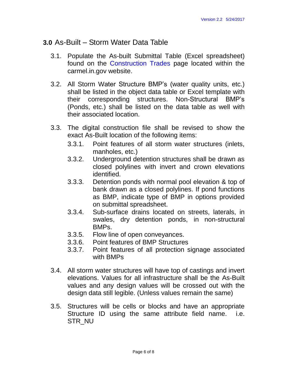#### **3.0** As-Built – Storm Water Data Table

- 3.1. Populate the As-built Submittal Table (Excel spreadsheet) found on the [Construction Trades](http://carmel.in.gov/index.aspx?page=115) page located within the carmel.in.gov website.
- 3.2. All Storm Water Structure BMP's (water quality units, etc.) shall be listed in the object data table or Excel template with their corresponding structures. Non-Structural BMP's (Ponds, etc.) shall be listed on the data table as well with their associated location.
- 3.3. The digital construction file shall be revised to show the exact As-Built location of the following items:
	- 3.3.1. Point features of all storm water structures (inlets, manholes, etc.)
	- 3.3.2. Underground detention structures shall be drawn as closed polylines with invert and crown elevations identified.
	- 3.3.3. Detention ponds with normal pool elevation & top of bank drawn as a closed polylines. If pond functions as BMP, indicate type of BMP in options provided on submittal spreadsheet.
	- 3.3.4. Sub-surface drains located on streets, laterals, in swales, dry detention ponds, in non-structural BMPs.
	- 3.3.5. Flow line of open conveyances.
	- 3.3.6. Point features of BMP Structures
	- 3.3.7. Point features of all protection signage associated with BMPs
- 3.4. All storm water structures will have top of castings and invert elevations. Values for all infrastructure shall be the As-Built values and any design values will be crossed out with the design data still legible. (Unless values remain the same)
- 3.5. Structures will be cells or blocks and have an appropriate Structure ID using the same attribute field name. i.e. STR\_NU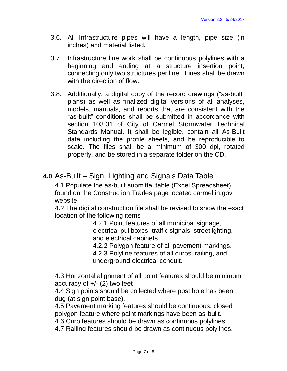- 3.6. All Infrastructure pipes will have a length, pipe size (in inches) and material listed.
- 3.7. Infrastructure line work shall be continuous polylines with a beginning and ending at a structure insertion point, connecting only two structures per line. Lines shall be drawn with the direction of flow.
- 3.8. Additionally, a digital copy of the record drawings ("as-built" plans) as well as finalized digital versions of all analyses, models, manuals, and reports that are consistent with the "as-built" conditions shall be submitted in accordance with section 103.01 of City of Carmel Stormwater Technical Standards Manual. It shall be legible, contain all As-Built data including the profile sheets, and be reproducible to scale. The files shall be a minimum of 300 dpi, rotated properly, and be stored in a separate folder on the CD.

## **4.0** As-Built – Sign, Lighting and Signals Data Table

4.1 Populate the as-built submittal table (Excel Spreadsheet) found on the Construction Trades page located carmel.in.gov website

4.2 The digital construction file shall be revised to show the exact location of the following items

> 4.2.1 Point features of all municipal signage, electrical pullboxes, traffic signals, streetlighting, and electrical cabinets.

> 4.2.2 Polygon feature of all pavement markings. 4.2.3 Polyline features of all curbs, railing, and underground electrical conduit.

4.3 Horizontal alignment of all point features should be minimum accuracy of  $+/-$  (2) two feet

4.4 Sign points should be collected where post hole has been dug (at sign point base).

4.5 Pavement marking features should be continuous, closed polygon feature where paint markings have been as-built.

4.6 Curb features should be drawn as continuous polylines.

4.7 Railing features should be drawn as continuous polylines.